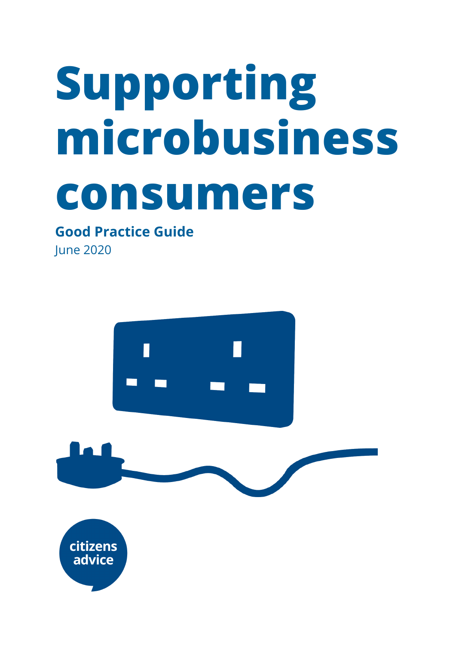# **Supporting microbusiness consumers**

### **Good Practice Guide**

June 2020

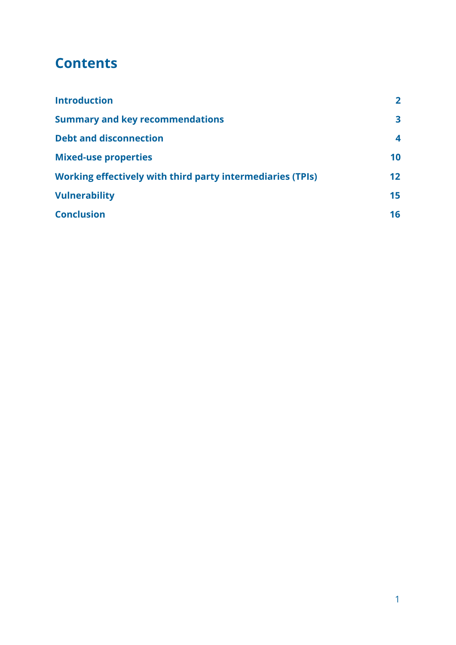### **Contents**

| <b>Introduction</b>                                               | $\mathbf{2}$    |
|-------------------------------------------------------------------|-----------------|
| <b>Summary and key recommendations</b>                            | 3               |
| <b>Debt and disconnection</b>                                     | 4               |
| <b>Mixed-use properties</b>                                       | 10              |
| <b>Working effectively with third party intermediaries (TPIs)</b> | 12 <sub>2</sub> |
| <b>Vulnerability</b>                                              | 15              |
| <b>Conclusion</b>                                                 | 16              |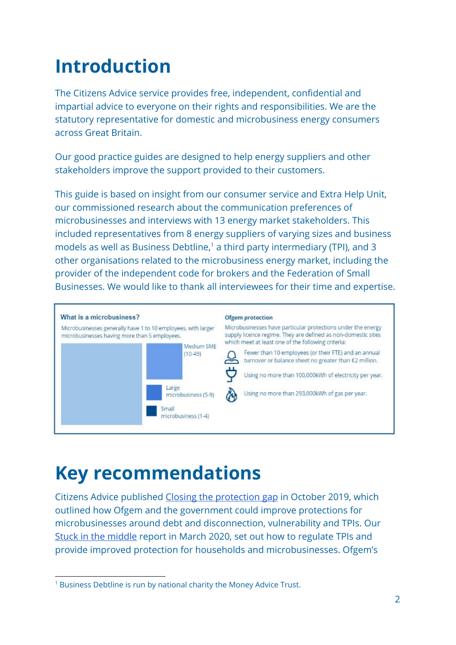# <span id="page-2-0"></span>**Introduction**

The Citizens Advice service provides free, independent, confidential and impartial advice to everyone on their rights and responsibilities. We are the statutory representative for domestic and microbusiness energy consumers across Great Britain.

Our good practice guides are designed to help energy suppliers and other stakeholders improve the support provided to their customers.

This guide is based on insight from our consumer service and Extra Help Unit, our commissioned research about the communication preferences of microbusinesses and interviews with 13 energy market stakeholders. This included representatives from 8 energy suppliers of varying sizes and business models as well as Business Debtline, $<sup>1</sup>$  a third party intermediary (TPI), and 3</sup> other organisations related to the microbusiness energy market, including the provider of the independent code for brokers and the Federation of Small Businesses. We would like to thank all interviewees for their time and expertise.



# <span id="page-2-1"></span>**Key recommendations**

Citizens Advice published [Closing the protection gap](https://www.citizensadvice.org.uk/Global/CitizensAdvice/Energy/Citizens%20Advice%20-%20Closing%20the%20protection%20gap(2).pdf) in October 2019, which outlined how Ofgem and the government could improve protections for microbusinesses around debt and disconnection, vulnerability and TPIs. Our [Stuck in the middle](https://www.citizensadvice.org.uk/Global/CitizensAdvice/Energy/TPIs%20report%20-%20FINAL%20(1).pdf) report in March 2020, set out how to regulate TPIs and provide improved protection for households and microbusinesses. Ofgem's

<sup>&</sup>lt;sup>1</sup> Business Debtline is run by national charity the Money Advice Trust.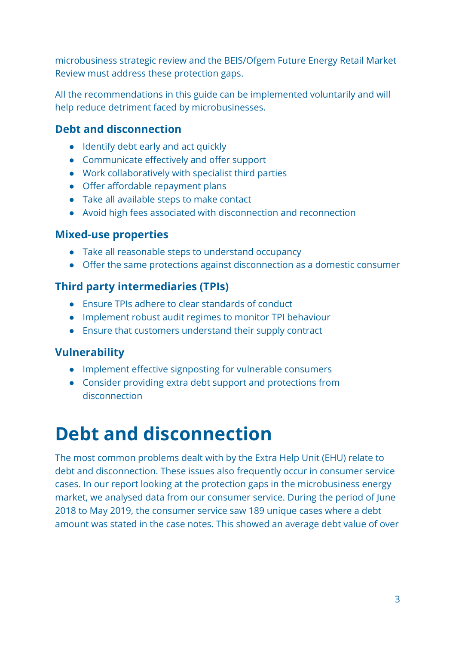microbusiness strategic review and the BEIS/Ofgem Future Energy Retail Market Review must address these protection gaps.

All the recommendations in this guide can be implemented voluntarily and will help reduce detriment faced by microbusinesses.

### **Debt and disconnection**

- Identify debt early and act quickly
- Communicate effectively and offer support
- Work collaboratively with specialist third parties
- Offer affordable repayment plans
- Take all available steps to make contact
- Avoid high fees associated with disconnection and reconnection

### **Mixed-use properties**

- Take all reasonable steps to understand occupancy
- Offer the same protections against disconnection as a domestic consumer

### **Third party intermediaries (TPIs)**

- Ensure TPIs adhere to clear standards of conduct
- Implement robust audit regimes to monitor TPI behaviour
- Ensure that customers understand their supply contract

### **Vulnerability**

- Implement effective signposting for vulnerable consumers
- Consider providing extra debt support and protections from disconnection

# <span id="page-3-0"></span>**Debt and disconnection**

The most common problems dealt with by the Extra Help Unit (EHU) relate to debt and disconnection. These issues also frequently occur in consumer service cases. In our report looking at the protection gaps in the microbusiness energy market, we analysed data from our consumer service. During the period of June 2018 to May 2019, the consumer service saw 189 unique cases where a debt amount was stated in the case notes. This showed an average debt value of over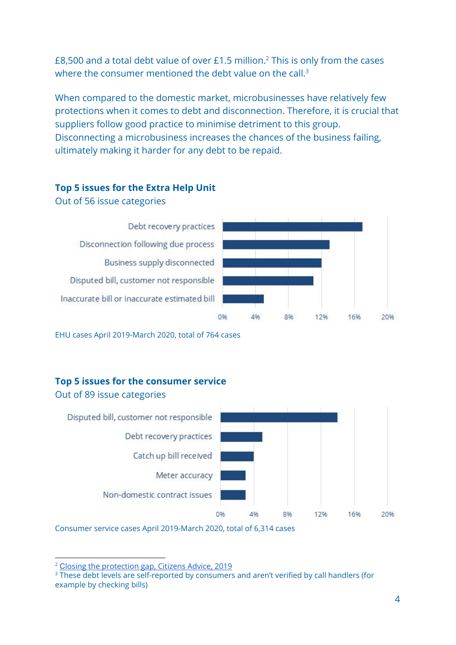£8,500 and a total debt value of over £1.5 million.<sup>2</sup> This is only from the cases where the consumer mentioned the debt value on the call.<sup>3</sup>

When compared to the domestic market, microbusinesses have relatively few protections when it comes to debt and disconnection. Therefore, it is crucial that suppliers follow good practice to minimise detriment to this group. Disconnecting a microbusiness increases the chances of the business failing, ultimately making it harder for any debt to be repaid.

#### **Top 5 issues for the Extra Help Unit**

Out of 56 issue categories

Debt recovery practices Disconnection following due process Business supply disconnected Disputed bill, customer not responsible Inaccurate bill or inaccurate estimated bill



EHU cases April 2019-March 2020, total of 764 cases

#### **Top 5 issues for the consumer service**



Out of 89 issue categories

Consumer service cases April 2019-March 2020, total of 6,314 cases

<sup>2</sup> [C](https://www.citizensadvice.org.uk/Global/CitizensAdvice/Energy/Citizens%20Advice%20-%20Closing%20the%20protection%20gap(2).pdf)losing the [protection](https://www.citizensadvice.org.uk/Global/CitizensAdvice/Energy/Citizens%20Advice%20-%20Closing%20the%20protection%20gap(2).pdf) gap, Citizens Advice, 2019

<sup>&</sup>lt;sup>3</sup> These debt levels are self-reported by consumers and aren't verified by call handlers (for example by checking bills)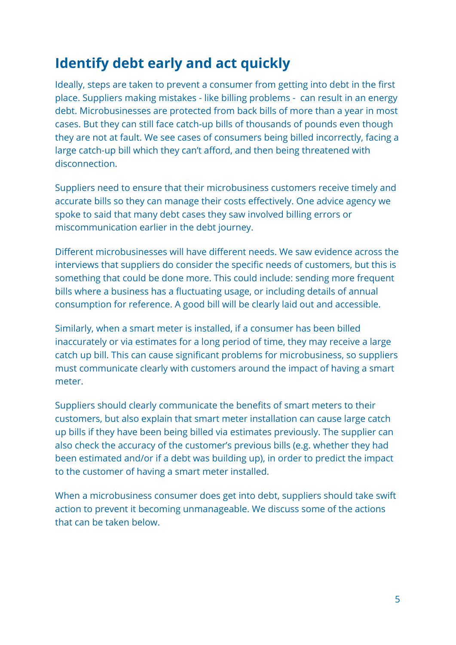# **Identify debt early and act quickly**

Ideally, steps are taken to prevent a consumer from getting into debt in the first place. Suppliers making mistakes - like billing problems - can result in an energy debt. Microbusinesses are protected from back bills of more than a year in most cases. But they can still face catch-up bills of thousands of pounds even though they are not at fault. We see cases of consumers being billed incorrectly, facing a large catch-up bill which they can't afford, and then being threatened with disconnection.

Suppliers need to ensure that their microbusiness customers receive timely and accurate bills so they can manage their costs effectively. One advice agency we spoke to said that many debt cases they saw involved billing errors or miscommunication earlier in the debt journey.

Different microbusinesses will have different needs. We saw evidence across the interviews that suppliers do consider the specific needs of customers, but this is something that could be done more. This could include: sending more frequent bills where a business has a fluctuating usage, or including details of annual consumption for reference. A good bill will be clearly laid out and accessible.

Similarly, when a smart meter is installed, if a consumer has been billed inaccurately or via estimates for a long period of time, they may receive a large catch up bill. This can cause significant problems for microbusiness, so suppliers must communicate clearly with customers around the impact of having a smart meter.

Suppliers should clearly communicate the benefits of smart meters to their customers, but also explain that smart meter installation can cause large catch up bills if they have been being billed via estimates previously. The supplier can also check the accuracy of the customer's previous bills (e.g. whether they had been estimated and/or if a debt was building up), in order to predict the impact to the customer of having a smart meter installed.

When a microbusiness consumer does get into debt, suppliers should take swift action to prevent it becoming unmanageable. We discuss some of the actions that can be taken below.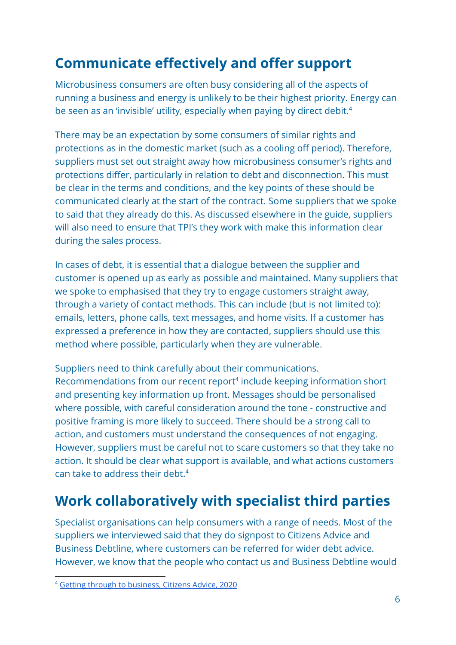# **Communicate effectively and offer support**

Microbusiness consumers are often busy considering all of the aspects of running a business and energy is unlikely to be their highest priority. Energy can be seen as an 'invisible' utility, especially when paying by direct debit.<sup>4</sup>

There may be an expectation by some consumers of similar rights and protections as in the domestic market (such as a cooling off period). Therefore, suppliers must set out straight away how microbusiness consumer's rights and protections differ, particularly in relation to debt and disconnection. This must be clear in the terms and conditions, and the key points of these should be communicated clearly at the start of the contract. Some suppliers that we spoke to said that they already do this. As discussed elsewhere in the guide, suppliers will also need to ensure that TPI's they work with make this information clear during the sales process.

In cases of debt, it is essential that a dialogue between the supplier and customer is opened up as early as possible and maintained. Many suppliers that we spoke to emphasised that they try to engage customers straight away, through a variety of contact methods. This can include (but is not limited to): emails, letters, phone calls, text messages, and home visits. If a customer has expressed a preference in how they are contacted, suppliers should use this method where possible, particularly when they are vulnerable.

Suppliers need to think carefully about their communications. Recommendations from our recent report<sup>4</sup> include keeping information short and presenting key information up front. Messages should be personalised where possible, with careful consideration around the tone - constructive and positive framing is more likely to succeed. There should be a strong call to action, and customers must understand the consequences of not engaging. However, suppliers must be careful not to scare customers so that they take no action. It should be clear what support is available, and what actions customers can take to address their debt.<sup>4</sup>

# **Work collaboratively with specialist third parties**

Specialist organisations can help consumers with a range of needs. Most of the suppliers we interviewed said that they do signpost to Citizens Advice and Business Debtline, where customers can be referred for wider debt advice. However, we know that the people who contact us and Business Debtline would

<sup>4</sup> Getting through to [business,](https://www.citizensadvice.org.uk/about-us/policy/policy-research-topics/energy-policy-research-and-consultation-responses/energy-policy-research/getting-through-to-business/) Citizens Advice, 2020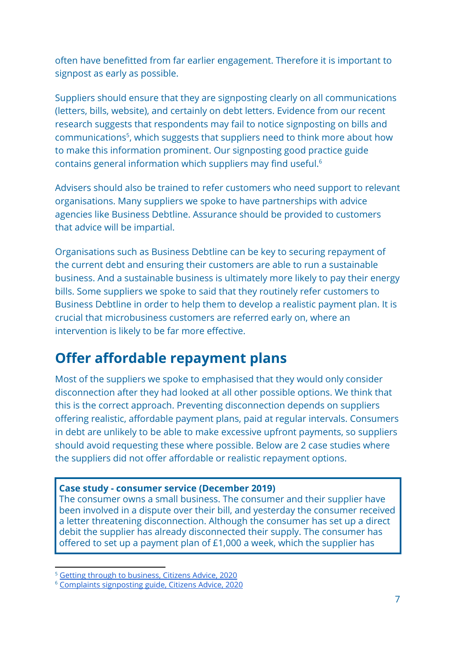often have benefitted from far earlier engagement. Therefore it is important to signpost as early as possible.

Suppliers should ensure that they are signposting clearly on all communications (letters, bills, website), and certainly on debt letters. Evidence from our recent research suggests that respondents may fail to notice signposting on bills and communications<sup>5</sup>, which suggests that suppliers need to think more about how to make this information prominent. Our signposting good practice guide contains general information which suppliers may find useful.<sup>6</sup>

Advisers should also be trained to refer customers who need support to relevant organisations. Many suppliers we spoke to have partnerships with advice agencies like Business Debtline. Assurance should be provided to customers that advice will be impartial.

Organisations such as Business Debtline can be key to securing repayment of the current debt and ensuring their customers are able to run a sustainable business. And a sustainable business is ultimately more likely to pay their energy bills. Some suppliers we spoke to said that they routinely refer customers to Business Debtline in order to help them to develop a realistic payment plan. It is crucial that microbusiness customers are referred early on, where an intervention is likely to be far more effective.

# **Offer affordable repayment plans**

Most of the suppliers we spoke to emphasised that they would only consider disconnection after they had looked at all other possible options. We think that this is the correct approach. Preventing disconnection depends on suppliers offering realistic, affordable payment plans, paid at regular intervals. Consumers in debt are unlikely to be able to make excessive upfront payments, so suppliers should avoid requesting these where possible. Below are 2 case studies where the suppliers did not offer affordable or realistic repayment options.

#### **Case study - consumer service (December 2019)**

The consumer owns a small business. The consumer and their supplier have been involved in a dispute over their bill, and yesterday the consumer received a letter threatening disconnection. Although the consumer has set up a direct debit the supplier has already disconnected their supply. The consumer has offered to set up a payment plan of £1,000 a week, which the supplier has

<sup>&</sup>lt;sup>5</sup> Getting through to [business,](https://www.citizensadvice.org.uk/about-us/policy/policy-research-topics/energy-policy-research-and-consultation-responses/energy-policy-research/getting-through-to-business/) Citizens Advice, 2020

<sup>6</sup> Complaints [signposting](https://www.citizensadvice.org.uk/Global/CitizensAdvice/Energy/Complaints%20Signposting%20Guide%20-%20March%202020.pdf) guide, Citizens Advice, 2020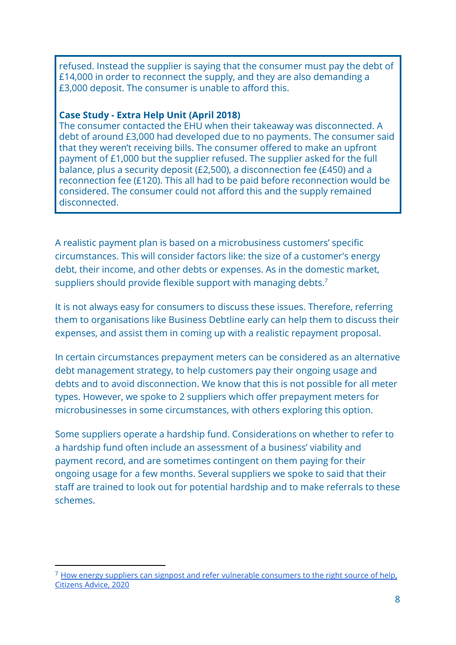refused. Instead the supplier is saying that the consumer must pay the debt of £14,000 in order to reconnect the supply, and they are also demanding a £3,000 deposit. The consumer is unable to afford this.

#### **Case Study - Extra Help Unit (April 2018)**

The consumer contacted the EHU when their takeaway was disconnected. A debt of around £3,000 had developed due to no payments. The consumer said that they weren't receiving bills. The consumer offered to make an upfront payment of £1,000 but the supplier refused. The supplier asked for the full balance, plus a security deposit (£2,500), a disconnection fee (£450) and a reconnection fee (£120). This all had to be paid before reconnection would be considered. The consumer could not afford this and the supply remained disconnected.

A realistic payment plan is based on a microbusiness customers' specific circumstances. This will consider factors like: the size of a customer's energy debt, their income, and other debts or expenses. As in the domestic market, suppliers should provide flexible support with managing debts.<sup>7</sup>

It is not always easy for consumers to discuss these issues. Therefore, referring them to organisations like Business Debtline early can help them to discuss their expenses, and assist them in coming up with a realistic repayment proposal.

In certain circumstances prepayment meters can be considered as an alternative debt management strategy, to help customers pay their ongoing usage and debts and to avoid disconnection. We know that this is not possible for all meter types. However, we spoke to 2 suppliers which offer prepayment meters for microbusinesses in some circumstances, with others exploring this option.

Some suppliers operate a hardship fund. Considerations on whether to refer to a hardship fund often include an assessment of a business' viability and payment record, and are sometimes contingent on them paying for their ongoing usage for a few months. Several suppliers we spoke to said that their staff are trained to look out for potential hardship and to make referrals to these schemes.

 $7$  How energy suppliers can signpost and refer vulnerable [consumers](https://www.citizensadvice.org.uk/Global/CitizensAdvice/Energy/Good%20practice%20guide%20FINAL.pdf) to the right source of help, [Citizens](https://www.citizensadvice.org.uk/Global/CitizensAdvice/Energy/Good%20practice%20guide%20FINAL.pdf) Advice, 2020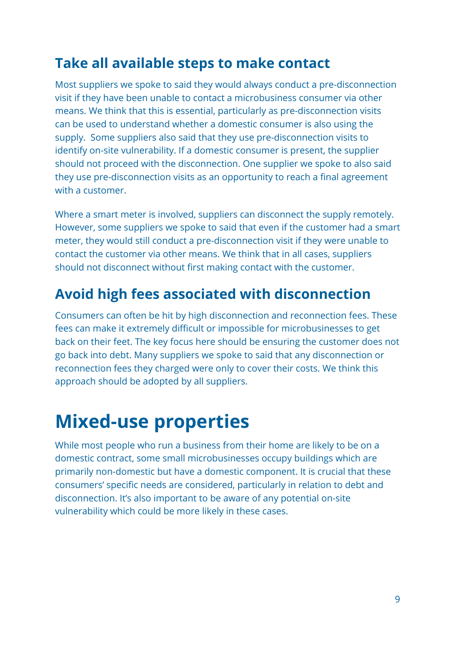# **Take all available steps to make contact**

Most suppliers we spoke to said they would always conduct a pre-disconnection visit if they have been unable to contact a microbusiness consumer via other means. We think that this is essential, particularly as pre-disconnection visits can be used to understand whether a domestic consumer is also using the supply. Some suppliers also said that they use pre-disconnection visits to identify on-site vulnerability. If a domestic consumer is present, the supplier should not proceed with the disconnection. One supplier we spoke to also said they use pre-disconnection visits as an opportunity to reach a final agreement with a customer.

Where a smart meter is involved, suppliers can disconnect the supply remotely. However, some suppliers we spoke to said that even if the customer had a smart meter, they would still conduct a pre-disconnection visit if they were unable to contact the customer via other means. We think that in all cases, suppliers should not disconnect without first making contact with the customer.

### **Avoid high fees associated with disconnection**

Consumers can often be hit by high disconnection and reconnection fees. These fees can make it extremely difficult or impossible for microbusinesses to get back on their feet. The key focus here should be ensuring the customer does not go back into debt. Many suppliers we spoke to said that any disconnection or reconnection fees they charged were only to cover their costs. We think this approach should be adopted by all suppliers.

# <span id="page-9-0"></span>**Mixed-use properties**

While most people who run a business from their home are likely to be on a domestic contract, some small microbusinesses occupy buildings which are primarily non-domestic but have a domestic component. It is crucial that these consumers' specific needs are considered, particularly in relation to debt and disconnection. It's also important to be aware of any potential on-site vulnerability which could be more likely in these cases.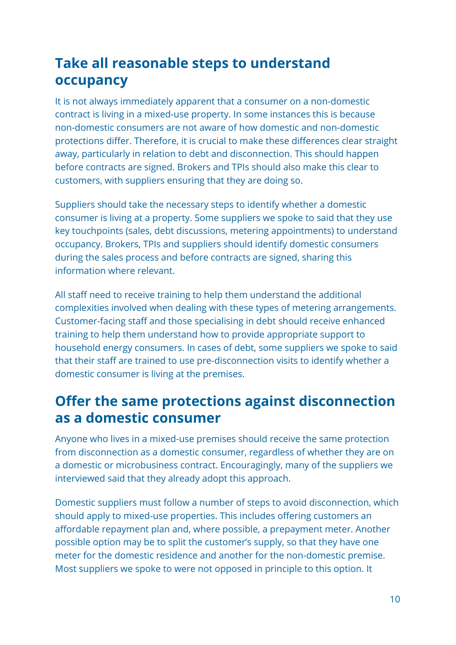# **Take all reasonable steps to understand occupancy**

It is not always immediately apparent that a consumer on a non-domestic contract is living in a mixed-use property. In some instances this is because non-domestic consumers are not aware of how domestic and non-domestic protections differ. Therefore, it is crucial to make these differences clear straight away, particularly in relation to debt and disconnection. This should happen before contracts are signed. Brokers and TPIs should also make this clear to customers, with suppliers ensuring that they are doing so.

Suppliers should take the necessary steps to identify whether a domestic consumer is living at a property. Some suppliers we spoke to said that they use key touchpoints (sales, debt discussions, metering appointments) to understand occupancy. Brokers, TPIs and suppliers should identify domestic consumers during the sales process and before contracts are signed, sharing this information where relevant.

All staff need to receive training to help them understand the additional complexities involved when dealing with these types of metering arrangements. Customer-facing staff and those specialising in debt should receive enhanced training to help them understand how to provide appropriate support to household energy consumers. In cases of debt, some suppliers we spoke to said that their staff are trained to use pre-disconnection visits to identify whether a domestic consumer is living at the premises.

# **Offer the same protections against disconnection as a domestic consumer**

Anyone who lives in a mixed-use premises should receive the same protection from disconnection as a domestic consumer, regardless of whether they are on a domestic or microbusiness contract. Encouragingly, many of the suppliers we interviewed said that they already adopt this approach.

Domestic suppliers must follow a number of steps to avoid disconnection, which should apply to mixed-use properties. This includes offering customers an affordable repayment plan and, where possible, a prepayment meter. Another possible option may be to split the customer's supply, so that they have one meter for the domestic residence and another for the non-domestic premise. Most suppliers we spoke to were not opposed in principle to this option. It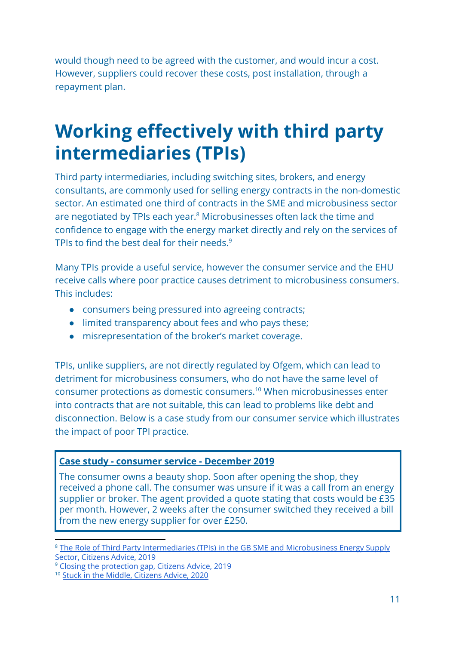would though need to be agreed with the customer, and would incur a cost. However, suppliers could recover these costs, post installation, through a repayment plan.

# <span id="page-11-0"></span>**Working effectively with third party intermediaries (TPIs)**

Third party intermediaries, including switching sites, brokers, and energy consultants, are commonly used for selling energy contracts in the non-domestic sector. An estimated one third of contracts in the SME and microbusiness sector are negotiated by TPIs each year.<sup>8</sup> Microbusinesses often lack the time and confidence to engage with the energy market directly and rely on the services of TPIs to find the best deal for their needs.<sup>9</sup>

Many TPIs provide a useful service, however the consumer service and the EHU receive calls where poor practice causes detriment to microbusiness consumers. This includes:

- consumers being pressured into agreeing contracts;
- limited transparency about fees and who pays these;
- misrepresentation of the broker's market coverage.

TPIs, unlike suppliers, are not directly regulated by Ofgem, which can lead to detriment for microbusiness consumers, who do not have the same level of consumer protections as domestic consumers.<sup>10</sup> When microbusinesses enter into contracts that are not suitable, this can lead to problems like debt and disconnection. Below is a case study from our consumer service which illustrates the impact of poor TPI practice.

#### **Case study - consumer service - December 2019**

The consumer owns a beauty shop. Soon after opening the shop, they received a phone call. The consumer was unsure if it was a call from an energy supplier or broker. The agent provided a quote stating that costs would be £35 per month. However, 2 weeks after the consumer switched they received a bill from the new energy supplier for over £250.

<sup>&</sup>lt;sup>8</sup> The Role of Third Party [Intermediaries](https://www.citizensadvice.org.uk/Global/CitizensAdvice/Energy/Cornwall%20Insight%20and%20Citizens%20Advice%20-%20The%20role%20of%20TPIs%20in%20the%20GB%20SME%20and%20microbusiness%20energy%20supply%20sector.pdf) (TPIs) in the GB SME and Microbusiness Energy Supply Sector, [Citizens](https://www.citizensadvice.org.uk/Global/CitizensAdvice/Energy/Cornwall%20Insight%20and%20Citizens%20Advice%20-%20The%20role%20of%20TPIs%20in%20the%20GB%20SME%20and%20microbusiness%20energy%20supply%20sector.pdf) Advice, 2019

<sup>&</sup>lt;sup>9</sup> Closing the [protection](https://www.citizensadvice.org.uk/Global/CitizensAdvice/Energy/Citizens%20Advice%20-%20Closing%20the%20protection%20gap(2).pdf) gap, Citizens Advice, 2019

<sup>10</sup> Stuck in the Middle, [Citizens](https://www.citizensadvice.org.uk/Global/CitizensAdvice/Energy/TPIs%20report%20-%20FINAL%20(1).pdf) Advice, 2020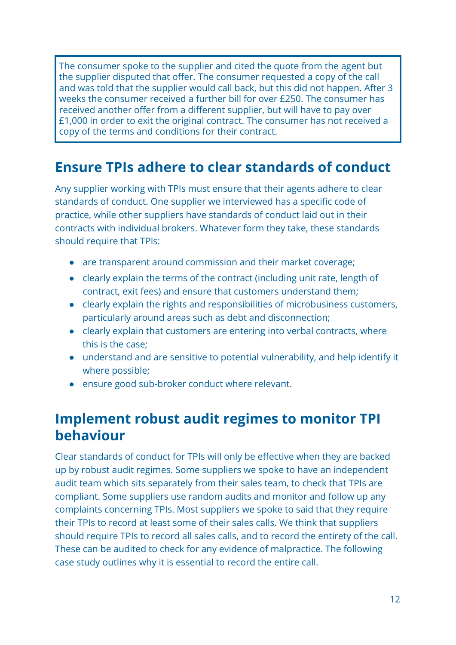The consumer spoke to the supplier and cited the quote from the agent but the supplier disputed that offer. The consumer requested a copy of the call and was told that the supplier would call back, but this did not happen. After 3 weeks the consumer received a further bill for over £250. The consumer has received another offer from a different supplier, but will have to pay over £1,000 in order to exit the original contract. The consumer has not received a copy of the terms and conditions for their contract.

### **Ensure TPIs adhere to clear standards of conduct**

Any supplier working with TPIs must ensure that their agents adhere to clear standards of conduct. One supplier we interviewed has a specific code of practice, while other suppliers have standards of conduct laid out in their contracts with individual brokers. Whatever form they take, these standards should require that TPIs:

- are transparent around commission and their market coverage;
- clearly explain the terms of the contract (including unit rate, length of contract, exit fees) and ensure that customers understand them;
- clearly explain the rights and responsibilities of microbusiness customers, particularly around areas such as debt and disconnection;
- clearly explain that customers are entering into verbal contracts, where this is the case;
- understand and are sensitive to potential vulnerability, and help identify it where possible;
- ensure good sub-broker conduct where relevant.

### **Implement robust audit regimes to monitor TPI behaviour**

Clear standards of conduct for TPIs will only be effective when they are backed up by robust audit regimes. Some suppliers we spoke to have an independent audit team which sits separately from their sales team, to check that TPIs are compliant. Some suppliers use random audits and monitor and follow up any complaints concerning TPIs. Most suppliers we spoke to said that they require their TPIs to record at least some of their sales calls. We think that suppliers should require TPIs to record all sales calls, and to record the entirety of the call. These can be audited to check for any evidence of malpractice. The following case study outlines why it is essential to record the entire call.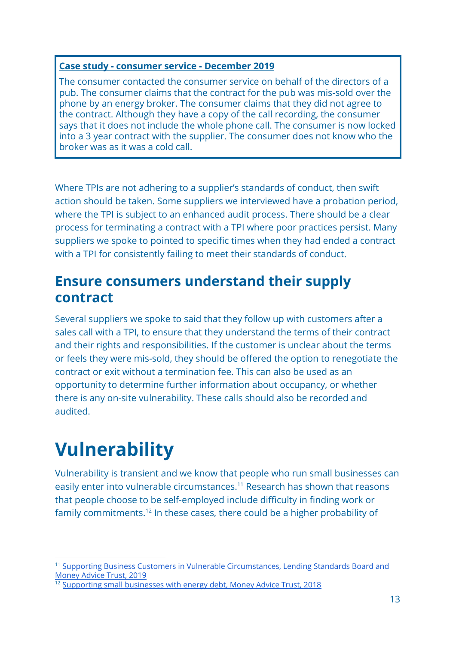#### **Case study - consumer service - December 2019**

The consumer contacted the consumer service on behalf of the directors of a pub. The consumer claims that the contract for the pub was mis-sold over the phone by an energy broker. The consumer claims that they did not agree to the contract. Although they have a copy of the call recording, the consumer says that it does not include the whole phone call. The consumer is now locked into a 3 year contract with the supplier. The consumer does not know who the broker was as it was a cold call.

Where TPIs are not adhering to a supplier's standards of conduct, then swift action should be taken. Some suppliers we interviewed have a probation period, where the TPI is subject to an enhanced audit process. There should be a clear process for terminating a contract with a TPI where poor practices persist. Many suppliers we spoke to pointed to specific times when they had ended a contract with a TPI for consistently failing to meet their standards of conduct.

### **Ensure consumers understand their supply contract**

Several suppliers we spoke to said that they follow up with customers after a sales call with a TPI, to ensure that they understand the terms of their contract and their rights and responsibilities. If the customer is unclear about the terms or feels they were mis-sold, they should be offered the option to renegotiate the contract or exit without a termination fee. This can also be used as an opportunity to determine further information about occupancy, or whether there is any on-site vulnerability. These calls should also be recorded and audited.

# <span id="page-13-0"></span>**Vulnerability**

Vulnerability is transient and we know that people who run small businesses can easily enter into vulnerable circumstances.<sup>11</sup> Research has shown that reasons that people choose to be self-employed include difficulty in finding work or family commitments.<sup>12</sup> In these cases, there could be a higher probability of

<sup>&</sup>lt;sup>11</sup> Supporting Business Customers in Vulnerable [Circumstances,](https://www.lendingstandardsboard.org.uk/supporting-business-customers-in-vulnerable-circumstances/) Lending Standards Board and [Money](https://www.lendingstandardsboard.org.uk/supporting-business-customers-in-vulnerable-circumstances/) Advice Trust, 2019

<sup>&</sup>lt;sup>12</sup> Supporting small [businesses](http://www.moneyadvicetrust.org/researchpolicy/research/Documents/Supporting%20Small%20Businesses%20with%20energy%20debt%20report%20and%20recommendations.pdf) with energy debt. Money Advice Trust, 2018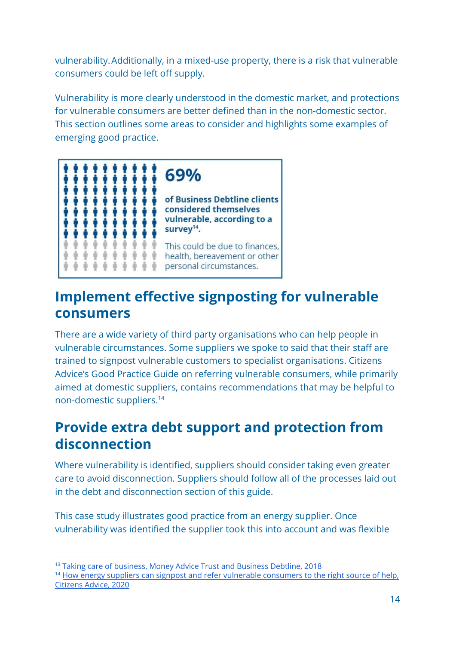vulnerability. Additionally, in a mixed-use property, there is a risk that vulnerable consumers could be left off supply.

Vulnerability is more clearly understood in the domestic market, and protections for vulnerable consumers are better defined than in the non-domestic sector. This section outlines some areas to consider and highlights some examples of emerging good practice.



# **Implement effective signposting for vulnerable consumers**

There are a wide variety of third party organisations who can help people in vulnerable circumstances. Some suppliers we spoke to said that their staff are trained to signpost vulnerable customers to specialist organisations. Citizens Advice's Good Practice Guide on referring vulnerable consumers, while primarily aimed at domestic suppliers, contains recommendations that may be helpful to non-domestic suppliers.<sup>14</sup>

### **Provide extra debt support and protection from disconnection**

Where vulnerability is identified, suppliers should consider taking even greater care to avoid disconnection. Suppliers should follow all of the processes laid out in the debt and disconnection section of this guide.

This case study illustrates good practice from an energy supplier. Once vulnerability was identified the supplier took this into account and was flexible

<sup>&</sup>lt;sup>13</sup> Taking care of [business,](http://www.moneyadvicetrust.org/researchpolicy/research/Documents/Money%20Advice%20Trust%2C%20Taking%20Care%20of%20Business%2C%20November%202018.pdf) Money Advice Trust and Business Debtline, 2018

<sup>&</sup>lt;sup>14</sup> How energy suppliers can signpost and refer vulnerable [consumers](https://www.citizensadvice.org.uk/Global/CitizensAdvice/Energy/Good%20practice%20guide%20FINAL.pdf) to the right source of help, [Citizens](https://www.citizensadvice.org.uk/Global/CitizensAdvice/Energy/Good%20practice%20guide%20FINAL.pdf) Advice, 2020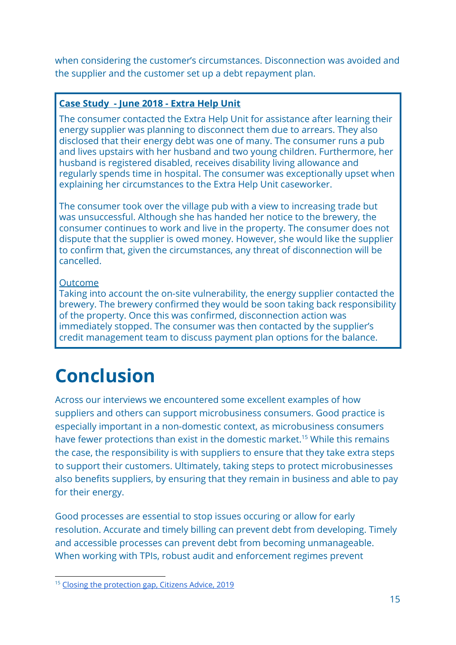when considering the customer's circumstances. Disconnection was avoided and the supplier and the customer set up a debt repayment plan.

#### **Case Study - June 2018 - Extra Help Unit**

The consumer contacted the Extra Help Unit for assistance after learning their energy supplier was planning to disconnect them due to arrears. They also disclosed that their energy debt was one of many. The consumer runs a pub and lives upstairs with her husband and two young children. Furthermore, her husband is registered disabled, receives disability living allowance and regularly spends time in hospital. The consumer was exceptionally upset when explaining her circumstances to the Extra Help Unit caseworker.

The consumer took over the village pub with a view to increasing trade but was unsuccessful. Although she has handed her notice to the brewery, the consumer continues to work and live in the property. The consumer does not dispute that the supplier is owed money. However, she would like the supplier to confirm that, given the circumstances, any threat of disconnection will be cancelled.

#### Outcome

Taking into account the on-site vulnerability, the energy supplier contacted the brewery. The brewery confirmed they would be soon taking back responsibility of the property. Once this was confirmed, disconnection action was immediately stopped. The consumer was then contacted by the supplier's credit management team to discuss payment plan options for the balance.

# **Conclusion**

Across our interviews we encountered some excellent examples of how suppliers and others can support microbusiness consumers. Good practice is especially important in a non-domestic context, as microbusiness consumers have fewer protections than exist in the domestic market.<sup>15</sup> While this remains the case, the responsibility is with suppliers to ensure that they take extra steps to support their customers. Ultimately, taking steps to protect microbusinesses also benefits suppliers, by ensuring that they remain in business and able to pay for their energy.

Good processes are essential to stop issues occuring or allow for early resolution. Accurate and timely billing can prevent debt from developing. Timely and accessible processes can prevent debt from becoming unmanageable. When working with TPIs, robust audit and enforcement regimes prevent

<sup>15</sup> Closing the [protection](https://www.citizensadvice.org.uk/Global/CitizensAdvice/Energy/Citizens%20Advice%20-%20Closing%20the%20protection%20gap(2).pdf) gap, Citizens Advice, 2019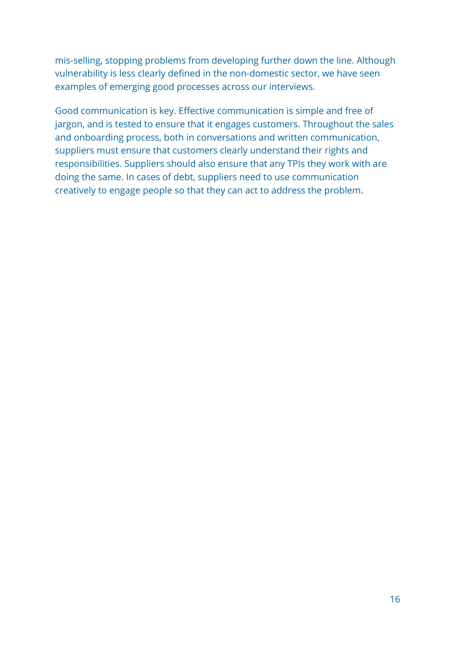mis-selling, stopping problems from developing further down the line. Although vulnerability is less clearly defined in the non-domestic sector, we have seen examples of emerging good processes across our interviews.

Good communication is key. Effective communication is simple and free of jargon, and is tested to ensure that it engages customers. Throughout the sales and onboarding process, both in conversations and written communication, suppliers must ensure that customers clearly understand their rights and responsibilities. Suppliers should also ensure that any TPIs they work with are doing the same. In cases of debt, suppliers need to use communication creatively to engage people so that they can act to address the problem.